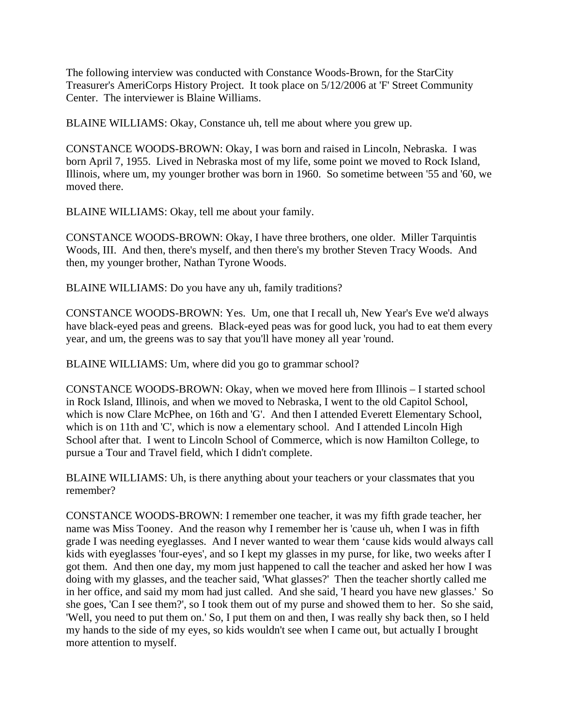The following interview was conducted with Constance Woods-Brown, for the StarCity Treasurer's AmeriCorps History Project. It took place on 5/12/2006 at 'F' Street Community Center. The interviewer is Blaine Williams.

BLAINE WILLIAMS: Okay, Constance uh, tell me about where you grew up.

CONSTANCE WOODS-BROWN: Okay, I was born and raised in Lincoln, Nebraska. I was born April 7, 1955. Lived in Nebraska most of my life, some point we moved to Rock Island, Illinois, where um, my younger brother was born in 1960. So sometime between '55 and '60, we moved there.

BLAINE WILLIAMS: Okay, tell me about your family.

CONSTANCE WOODS-BROWN: Okay, I have three brothers, one older. Miller Tarquintis Woods, III. And then, there's myself, and then there's my brother Steven Tracy Woods. And then, my younger brother, Nathan Tyrone Woods.

BLAINE WILLIAMS: Do you have any uh, family traditions?

CONSTANCE WOODS-BROWN: Yes. Um, one that I recall uh, New Year's Eve we'd always have black-eyed peas and greens. Black-eyed peas was for good luck, you had to eat them every year, and um, the greens was to say that you'll have money all year 'round.

BLAINE WILLIAMS: Um, where did you go to grammar school?

CONSTANCE WOODS-BROWN: Okay, when we moved here from Illinois – I started school in Rock Island, Illinois, and when we moved to Nebraska, I went to the old Capitol School, which is now Clare McPhee, on 16th and 'G'. And then I attended Everett Elementary School, which is on 11th and 'C', which is now a elementary school. And I attended Lincoln High School after that. I went to Lincoln School of Commerce, which is now Hamilton College, to pursue a Tour and Travel field, which I didn't complete.

BLAINE WILLIAMS: Uh, is there anything about your teachers or your classmates that you remember?

CONSTANCE WOODS-BROWN: I remember one teacher, it was my fifth grade teacher, her name was Miss Tooney. And the reason why I remember her is 'cause uh, when I was in fifth grade I was needing eyeglasses. And I never wanted to wear them 'cause kids would always call kids with eyeglasses 'four-eyes', and so I kept my glasses in my purse, for like, two weeks after I got them. And then one day, my mom just happened to call the teacher and asked her how I was doing with my glasses, and the teacher said, 'What glasses?' Then the teacher shortly called me in her office, and said my mom had just called. And she said, 'I heard you have new glasses.' So she goes, 'Can I see them?', so I took them out of my purse and showed them to her. So she said, 'Well, you need to put them on.' So, I put them on and then, I was really shy back then, so I held my hands to the side of my eyes, so kids wouldn't see when I came out, but actually I brought more attention to myself.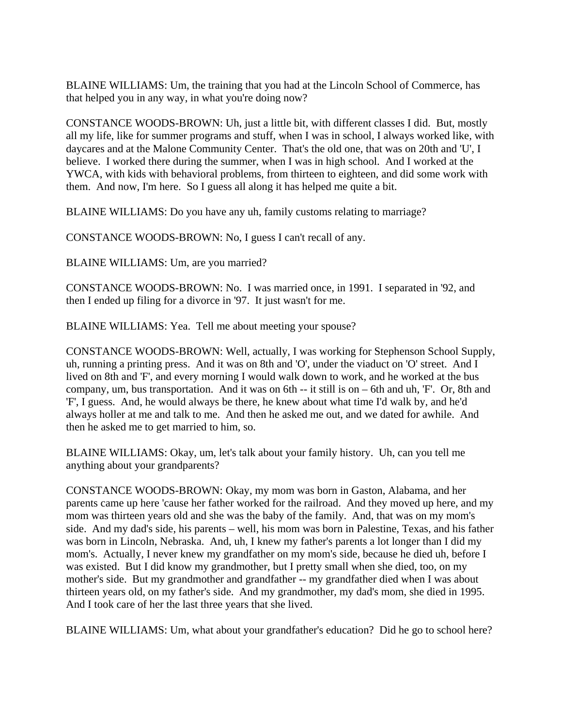BLAINE WILLIAMS: Um, the training that you had at the Lincoln School of Commerce, has that helped you in any way, in what you're doing now?

CONSTANCE WOODS-BROWN: Uh, just a little bit, with different classes I did. But, mostly all my life, like for summer programs and stuff, when I was in school, I always worked like, with daycares and at the Malone Community Center. That's the old one, that was on 20th and 'U', I believe. I worked there during the summer, when I was in high school. And I worked at the YWCA, with kids with behavioral problems, from thirteen to eighteen, and did some work with them. And now, I'm here. So I guess all along it has helped me quite a bit.

BLAINE WILLIAMS: Do you have any uh, family customs relating to marriage?

CONSTANCE WOODS-BROWN: No, I guess I can't recall of any.

BLAINE WILLIAMS: Um, are you married?

CONSTANCE WOODS-BROWN: No. I was married once, in 1991. I separated in '92, and then I ended up filing for a divorce in '97. It just wasn't for me.

BLAINE WILLIAMS: Yea. Tell me about meeting your spouse?

CONSTANCE WOODS-BROWN: Well, actually, I was working for Stephenson School Supply, uh, running a printing press. And it was on 8th and 'O', under the viaduct on 'O' street. And I lived on 8th and 'F', and every morning I would walk down to work, and he worked at the bus company, um, bus transportation. And it was on 6th -- it still is on – 6th and uh, 'F'. Or, 8th and 'F', I guess. And, he would always be there, he knew about what time I'd walk by, and he'd always holler at me and talk to me. And then he asked me out, and we dated for awhile. And then he asked me to get married to him, so.

BLAINE WILLIAMS: Okay, um, let's talk about your family history. Uh, can you tell me anything about your grandparents?

CONSTANCE WOODS-BROWN: Okay, my mom was born in Gaston, Alabama, and her parents came up here 'cause her father worked for the railroad. And they moved up here, and my mom was thirteen years old and she was the baby of the family. And, that was on my mom's side. And my dad's side, his parents – well, his mom was born in Palestine, Texas, and his father was born in Lincoln, Nebraska. And, uh, I knew my father's parents a lot longer than I did my mom's. Actually, I never knew my grandfather on my mom's side, because he died uh, before I was existed. But I did know my grandmother, but I pretty small when she died, too, on my mother's side. But my grandmother and grandfather -- my grandfather died when I was about thirteen years old, on my father's side. And my grandmother, my dad's mom, she died in 1995. And I took care of her the last three years that she lived.

BLAINE WILLIAMS: Um, what about your grandfather's education? Did he go to school here?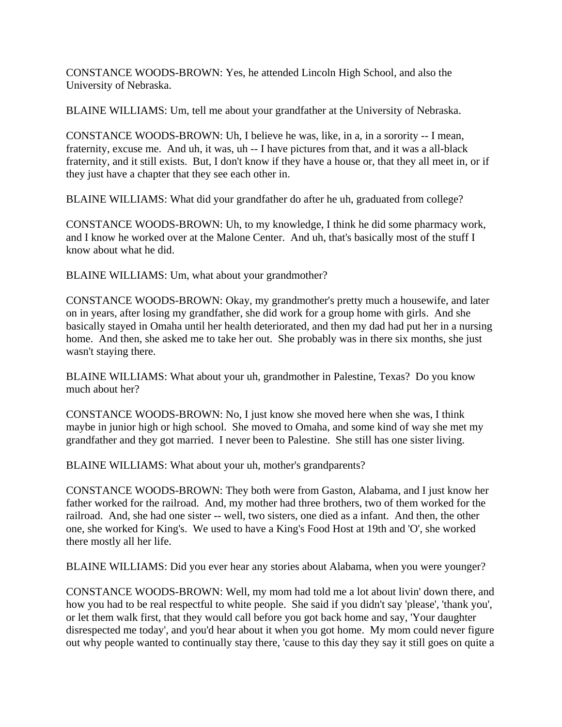CONSTANCE WOODS-BROWN: Yes, he attended Lincoln High School, and also the University of Nebraska.

BLAINE WILLIAMS: Um, tell me about your grandfather at the University of Nebraska.

CONSTANCE WOODS-BROWN: Uh, I believe he was, like, in a, in a sorority -- I mean, fraternity, excuse me. And uh, it was, uh -- I have pictures from that, and it was a all-black fraternity, and it still exists. But, I don't know if they have a house or, that they all meet in, or if they just have a chapter that they see each other in.

BLAINE WILLIAMS: What did your grandfather do after he uh, graduated from college?

CONSTANCE WOODS-BROWN: Uh, to my knowledge, I think he did some pharmacy work, and I know he worked over at the Malone Center. And uh, that's basically most of the stuff I know about what he did.

BLAINE WILLIAMS: Um, what about your grandmother?

CONSTANCE WOODS-BROWN: Okay, my grandmother's pretty much a housewife, and later on in years, after losing my grandfather, she did work for a group home with girls. And she basically stayed in Omaha until her health deteriorated, and then my dad had put her in a nursing home. And then, she asked me to take her out. She probably was in there six months, she just wasn't staying there.

BLAINE WILLIAMS: What about your uh, grandmother in Palestine, Texas? Do you know much about her?

CONSTANCE WOODS-BROWN: No, I just know she moved here when she was, I think maybe in junior high or high school. She moved to Omaha, and some kind of way she met my grandfather and they got married. I never been to Palestine. She still has one sister living.

BLAINE WILLIAMS: What about your uh, mother's grandparents?

CONSTANCE WOODS-BROWN: They both were from Gaston, Alabama, and I just know her father worked for the railroad. And, my mother had three brothers, two of them worked for the railroad. And, she had one sister -- well, two sisters, one died as a infant. And then, the other one, she worked for King's. We used to have a King's Food Host at 19th and 'O', she worked there mostly all her life.

BLAINE WILLIAMS: Did you ever hear any stories about Alabama, when you were younger?

CONSTANCE WOODS-BROWN: Well, my mom had told me a lot about livin' down there, and how you had to be real respectful to white people. She said if you didn't say 'please', 'thank you', or let them walk first, that they would call before you got back home and say, 'Your daughter disrespected me today', and you'd hear about it when you got home. My mom could never figure out why people wanted to continually stay there, 'cause to this day they say it still goes on quite a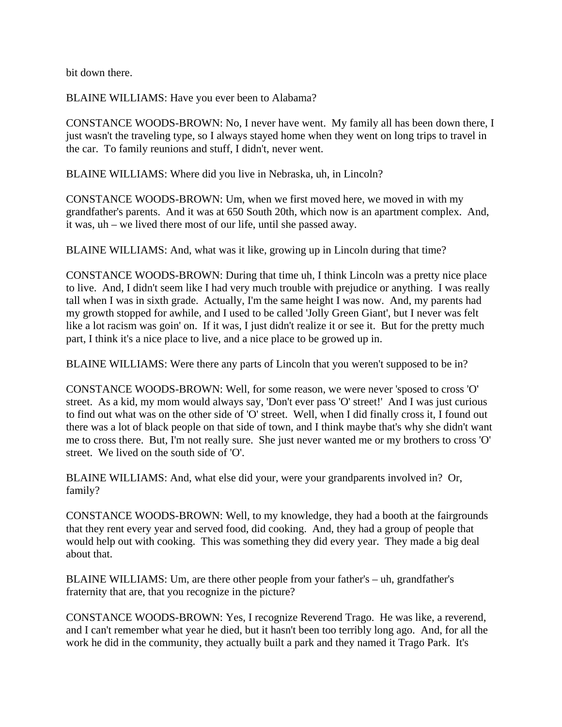bit down there.

BLAINE WILLIAMS: Have you ever been to Alabama?

CONSTANCE WOODS-BROWN: No, I never have went. My family all has been down there, I just wasn't the traveling type, so I always stayed home when they went on long trips to travel in the car. To family reunions and stuff, I didn't, never went.

BLAINE WILLIAMS: Where did you live in Nebraska, uh, in Lincoln?

CONSTANCE WOODS-BROWN: Um, when we first moved here, we moved in with my grandfather's parents. And it was at 650 South 20th, which now is an apartment complex. And, it was, uh – we lived there most of our life, until she passed away.

BLAINE WILLIAMS: And, what was it like, growing up in Lincoln during that time?

CONSTANCE WOODS-BROWN: During that time uh, I think Lincoln was a pretty nice place to live. And, I didn't seem like I had very much trouble with prejudice or anything. I was really tall when I was in sixth grade. Actually, I'm the same height I was now. And, my parents had my growth stopped for awhile, and I used to be called 'Jolly Green Giant', but I never was felt like a lot racism was goin' on. If it was, I just didn't realize it or see it. But for the pretty much part, I think it's a nice place to live, and a nice place to be growed up in.

BLAINE WILLIAMS: Were there any parts of Lincoln that you weren't supposed to be in?

CONSTANCE WOODS-BROWN: Well, for some reason, we were never 'sposed to cross 'O' street. As a kid, my mom would always say, 'Don't ever pass 'O' street!' And I was just curious to find out what was on the other side of 'O' street. Well, when I did finally cross it, I found out there was a lot of black people on that side of town, and I think maybe that's why she didn't want me to cross there. But, I'm not really sure. She just never wanted me or my brothers to cross 'O' street. We lived on the south side of 'O'.

BLAINE WILLIAMS: And, what else did your, were your grandparents involved in? Or, family?

CONSTANCE WOODS-BROWN: Well, to my knowledge, they had a booth at the fairgrounds that they rent every year and served food, did cooking. And, they had a group of people that would help out with cooking. This was something they did every year. They made a big deal about that.

BLAINE WILLIAMS: Um, are there other people from your father's – uh, grandfather's fraternity that are, that you recognize in the picture?

CONSTANCE WOODS-BROWN: Yes, I recognize Reverend Trago. He was like, a reverend, and I can't remember what year he died, but it hasn't been too terribly long ago. And, for all the work he did in the community, they actually built a park and they named it Trago Park. It's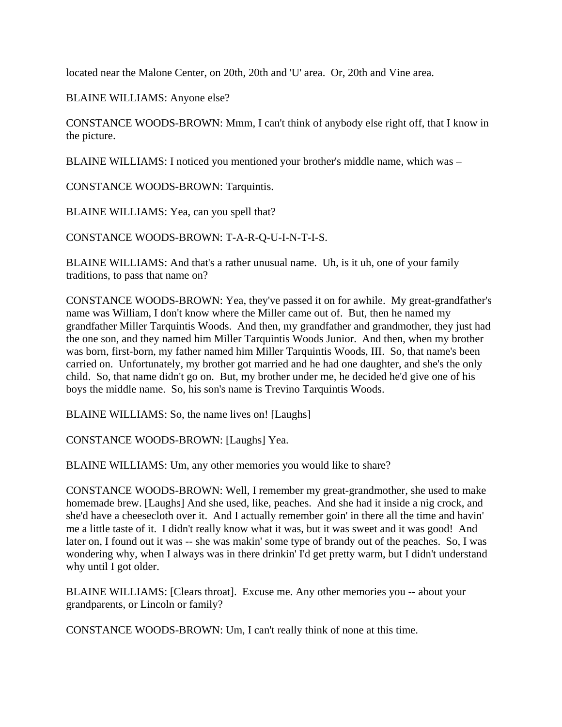located near the Malone Center, on 20th, 20th and 'U' area. Or, 20th and Vine area.

BLAINE WILLIAMS: Anyone else?

CONSTANCE WOODS-BROWN: Mmm, I can't think of anybody else right off, that I know in the picture.

BLAINE WILLIAMS: I noticed you mentioned your brother's middle name, which was –

CONSTANCE WOODS-BROWN: Tarquintis.

BLAINE WILLIAMS: Yea, can you spell that?

CONSTANCE WOODS-BROWN: T-A-R-Q-U-I-N-T-I-S.

BLAINE WILLIAMS: And that's a rather unusual name. Uh, is it uh, one of your family traditions, to pass that name on?

CONSTANCE WOODS-BROWN: Yea, they've passed it on for awhile. My great-grandfather's name was William, I don't know where the Miller came out of. But, then he named my grandfather Miller Tarquintis Woods. And then, my grandfather and grandmother, they just had the one son, and they named him Miller Tarquintis Woods Junior. And then, when my brother was born, first-born, my father named him Miller Tarquintis Woods, III. So, that name's been carried on. Unfortunately, my brother got married and he had one daughter, and she's the only child. So, that name didn't go on. But, my brother under me, he decided he'd give one of his boys the middle name. So, his son's name is Trevino Tarquintis Woods.

BLAINE WILLIAMS: So, the name lives on! [Laughs]

CONSTANCE WOODS-BROWN: [Laughs] Yea.

BLAINE WILLIAMS: Um, any other memories you would like to share?

CONSTANCE WOODS-BROWN: Well, I remember my great-grandmother, she used to make homemade brew. [Laughs] And she used, like, peaches. And she had it inside a nig crock, and she'd have a cheesecloth over it. And I actually remember goin' in there all the time and havin' me a little taste of it. I didn't really know what it was, but it was sweet and it was good! And later on, I found out it was -- she was makin' some type of brandy out of the peaches. So, I was wondering why, when I always was in there drinkin' I'd get pretty warm, but I didn't understand why until I got older.

BLAINE WILLIAMS: [Clears throat]. Excuse me. Any other memories you -- about your grandparents, or Lincoln or family?

CONSTANCE WOODS-BROWN: Um, I can't really think of none at this time.